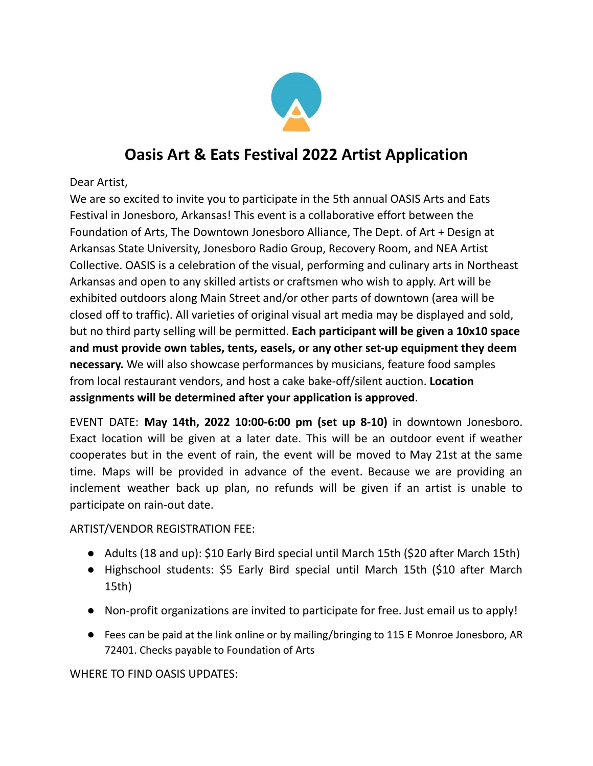

## **Oasis Art & Eats Festival 2022 Artist Application**

Dear Artist,

We are so excited to invite you to participate in the 5th annual OASIS Arts and Eats Festival in Jonesboro, Arkansas! This event is a collaborative effort between the Foundation of Arts, The Downtown Jonesboro Alliance, The Dept. of Art + Design at Arkansas State University, Jonesboro Radio Group, Recovery Room, and NEA Artist Collective. OASIS is a celebration of the visual, performing and culinary arts in Northeast Arkansas and open to any skilled artists or craftsmen who wish to apply. Art will be exhibited outdoors along Main Street and/or other parts of downtown (area will be closed off to traffic). All varieties of original visual art media may be displayed and sold, but no third party selling will be permitted. **Each participant will be given a 10x10 space and must provide own tables, tents, easels, or any other set-up equipment they deem necessary.** We will also showcase performances by musicians, feature food samples from local restaurant vendors, and host a cake bake-off/silent auction. **Location assignments will be determined after your application is approved**.

EVENT DATE: **May 14th, 2022 10:00-6:00 pm (set up 8-10)** in downtown Jonesboro. Exact location will be given at a later date. This will be an outdoor event if weather cooperates but in the event of rain, the event will be moved to May 21st at the same time. Maps will be provided in advance of the event. Because we are providing an inclement weather back up plan, no refunds will be given if an artist is unable to participate on rain-out date.

ARTIST/VENDOR REGISTRATION FEE:

- Adults (18 and up): \$10 Early Bird special until March 15th (\$20 after March 15th)
- Highschool students: \$5 Early Bird special until March 15th (\$10 after March 15th)
- Non-profit organizations are invited to participate for free. Just email us to apply!
- Fees can be paid at the link online or by mailing/bringing to 115 E Monroe Jonesboro, AR 72401. Checks payable to Foundation of Arts

WHERE TO FIND OASIS UPDATES: